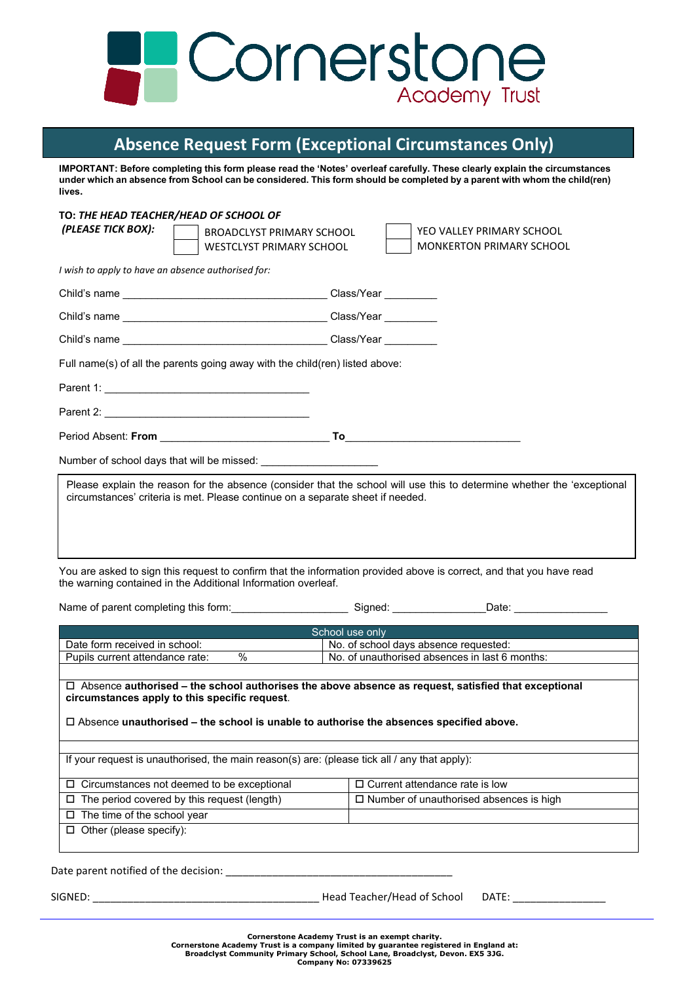

## **Absence Request Form (Exceptional Circumstances Only)**

**IMPORTANT: Before completing this form please read the 'Notes' overleaf carefully. These clearly explain the circumstances under which an absence from School can be considered. This form should be completed by a parent with whom the child(ren) lives.** 

|                                    | TO: THE HEAD TEACHER/HEAD OF SCHOOL OF                            |                                                                                                                                                                                                             |  |
|------------------------------------|-------------------------------------------------------------------|-------------------------------------------------------------------------------------------------------------------------------------------------------------------------------------------------------------|--|
| (PLEASE TICK BOX):                 | <b>BROADCLYST PRIMARY SCHOOL</b>                                  | YEO VALLEY PRIMARY SCHOOL                                                                                                                                                                                   |  |
|                                    | <b>WESTCLYST PRIMARY SCHOOL</b>                                   | <b>MONKERTON PRIMARY SCHOOL</b>                                                                                                                                                                             |  |
|                                    | I wish to apply to have an absence authorised for:                |                                                                                                                                                                                                             |  |
|                                    |                                                                   |                                                                                                                                                                                                             |  |
|                                    |                                                                   |                                                                                                                                                                                                             |  |
|                                    |                                                                   |                                                                                                                                                                                                             |  |
|                                    |                                                                   | Full name(s) of all the parents going away with the child(ren) listed above:                                                                                                                                |  |
|                                    |                                                                   |                                                                                                                                                                                                             |  |
|                                    |                                                                   |                                                                                                                                                                                                             |  |
|                                    |                                                                   |                                                                                                                                                                                                             |  |
|                                    | Number of school days that will be missed: ______________________ |                                                                                                                                                                                                             |  |
|                                    |                                                                   |                                                                                                                                                                                                             |  |
|                                    | the warning contained in the Additional Information overleaf.     | You are asked to sign this request to confirm that the information provided above is correct, and that you have read                                                                                        |  |
|                                    |                                                                   |                                                                                                                                                                                                             |  |
|                                    |                                                                   | School use only                                                                                                                                                                                             |  |
| Date form received in school:      |                                                                   | No. of school days absence requested:                                                                                                                                                                       |  |
|                                    |                                                                   |                                                                                                                                                                                                             |  |
| Pupils current attendance rate:    | %                                                                 | No. of unauthorised absences in last 6 months:                                                                                                                                                              |  |
|                                    | circumstances apply to this specific request.                     | $\Box$ Absence authorised – the school authorises the above absence as request, satisfied that exceptional<br>$\Box$ Absence unauthorised – the school is unable to authorise the absences specified above. |  |
|                                    |                                                                   | If your request is unauthorised, the main reason(s) are: (please tick all / any that apply):                                                                                                                |  |
|                                    |                                                                   | □ Current attendance rate is low                                                                                                                                                                            |  |
| 0                                  | □ Circumstances not deemed to be exceptional                      | $\square$ Number of unauthorised absences is high                                                                                                                                                           |  |
| $\Box$ The time of the school year | The period covered by this request (length)                       |                                                                                                                                                                                                             |  |
| Other (please specify):            |                                                                   |                                                                                                                                                                                                             |  |
|                                    |                                                                   |                                                                                                                                                                                                             |  |
|                                    |                                                                   |                                                                                                                                                                                                             |  |
|                                    |                                                                   |                                                                                                                                                                                                             |  |

SIGNED: \_\_\_\_\_\_\_\_\_\_\_\_\_\_\_\_\_\_\_\_\_\_\_\_\_\_\_\_\_\_\_\_\_\_\_\_\_\_\_ Head Teacher/Head of School DATE: \_\_\_\_\_\_\_\_\_\_\_\_\_\_\_\_